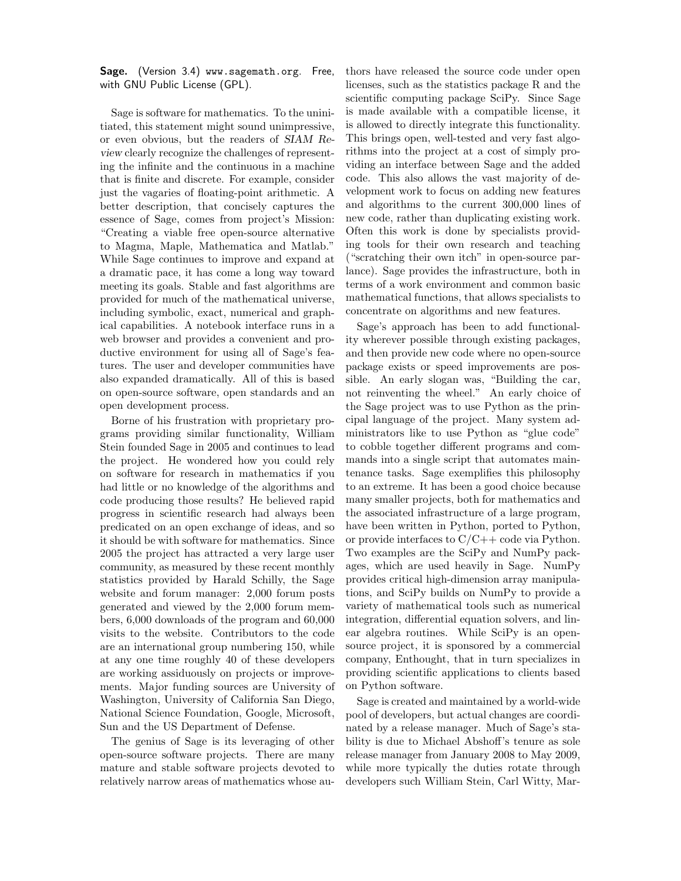Sage. (Version 3.4) www.sagemath.org. Free, with GNU Public License (GPL).

Sage is software for mathematics. To the uninitiated, this statement might sound unimpressive, or even obvious, but the readers of SIAM Review clearly recognize the challenges of representing the infinite and the continuous in a machine that is finite and discrete. For example, consider just the vagaries of floating-point arithmetic. A better description, that concisely captures the essence of Sage, comes from project's Mission: "Creating a viable free open-source alternative to Magma, Maple, Mathematica and Matlab." While Sage continues to improve and expand at a dramatic pace, it has come a long way toward meeting its goals. Stable and fast algorithms are provided for much of the mathematical universe, including symbolic, exact, numerical and graphical capabilities. A notebook interface runs in a web browser and provides a convenient and productive environment for using all of Sage's features. The user and developer communities have also expanded dramatically. All of this is based on open-source software, open standards and an open development process.

Borne of his frustration with proprietary programs providing similar functionality, William Stein founded Sage in 2005 and continues to lead the project. He wondered how you could rely on software for research in mathematics if you had little or no knowledge of the algorithms and code producing those results? He believed rapid progress in scientific research had always been predicated on an open exchange of ideas, and so it should be with software for mathematics. Since 2005 the project has attracted a very large user community, as measured by these recent monthly statistics provided by Harald Schilly, the Sage website and forum manager: 2,000 forum posts generated and viewed by the 2,000 forum members, 6,000 downloads of the program and 60,000 visits to the website. Contributors to the code are an international group numbering 150, while at any one time roughly 40 of these developers are working assiduously on projects or improvements. Major funding sources are University of Washington, University of California San Diego, National Science Foundation, Google, Microsoft, Sun and the US Department of Defense.

The genius of Sage is its leveraging of other open-source software projects. There are many mature and stable software projects devoted to relatively narrow areas of mathematics whose authors have released the source code under open licenses, such as the statistics package R and the scientific computing package SciPy. Since Sage is made available with a compatible license, it is allowed to directly integrate this functionality. This brings open, well-tested and very fast algorithms into the project at a cost of simply providing an interface between Sage and the added code. This also allows the vast majority of development work to focus on adding new features and algorithms to the current 300,000 lines of new code, rather than duplicating existing work. Often this work is done by specialists providing tools for their own research and teaching ("scratching their own itch" in open-source parlance). Sage provides the infrastructure, both in terms of a work environment and common basic mathematical functions, that allows specialists to concentrate on algorithms and new features.

Sage's approach has been to add functionality wherever possible through existing packages, and then provide new code where no open-source package exists or speed improvements are possible. An early slogan was, "Building the car, not reinventing the wheel." An early choice of the Sage project was to use Python as the principal language of the project. Many system administrators like to use Python as "glue code" to cobble together different programs and commands into a single script that automates maintenance tasks. Sage exemplifies this philosophy to an extreme. It has been a good choice because many smaller projects, both for mathematics and the associated infrastructure of a large program, have been written in Python, ported to Python, or provide interfaces to  $C/C++$  code via Python. Two examples are the SciPy and NumPy packages, which are used heavily in Sage. NumPy provides critical high-dimension array manipulations, and SciPy builds on NumPy to provide a variety of mathematical tools such as numerical integration, differential equation solvers, and linear algebra routines. While SciPy is an opensource project, it is sponsored by a commercial company, Enthought, that in turn specializes in providing scientific applications to clients based on Python software.

Sage is created and maintained by a world-wide pool of developers, but actual changes are coordinated by a release manager. Much of Sage's stability is due to Michael Abshoff's tenure as sole release manager from January 2008 to May 2009, while more typically the duties rotate through developers such William Stein, Carl Witty, Mar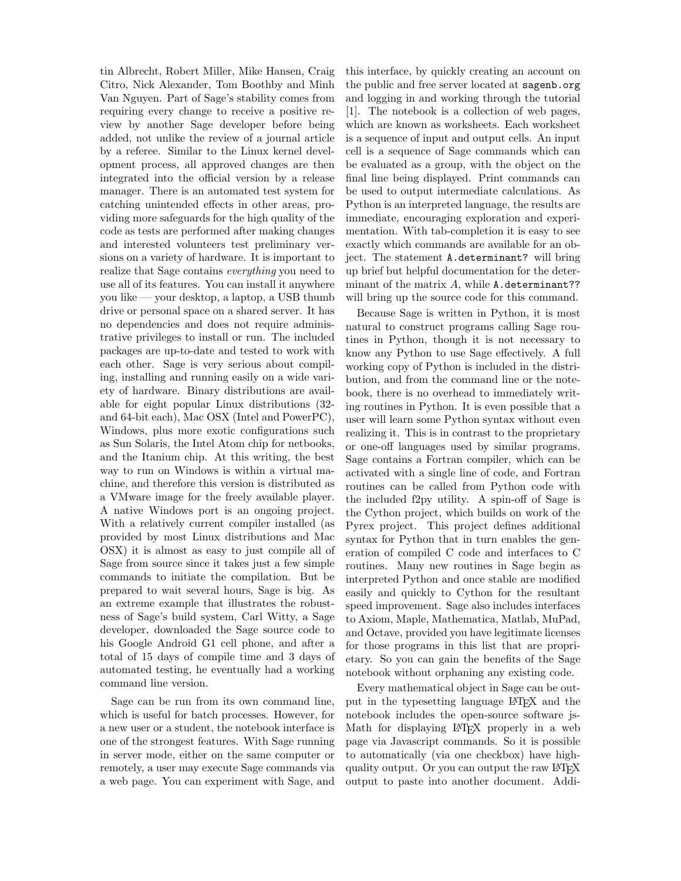tin Albrecht, Robert Miller, Mike Hansen, Craig Citro, Nick Alexander, Tom Boothby and Minh Van Nguyen. Part of Sage's stability comes from requiring every change to receive a positive review by another Sage developer before being added, not unlike the review of a journal article by a referee. Similar to the Linux kernel development process, all approved changes are then integrated into the official version by a release manager. There is an automated test system for catching unintended effects in other areas, providing more safeguards for the high quality of the code as tests are performed after making changes and interested volunteers test preliminary versions on a variety of hardware. It is important to realize that Sage contains everything you need to use all of its features. You can install it anywhere you like — your desktop, a laptop, a USB thumb drive or personal space on a shared server. It has no dependencies and does not require administrative privileges to install or run. The included packages are up-to-date and tested to work with each other. Sage is very serious about compiling, installing and running easily on a wide variety of hardware. Binary distributions are available for eight popular Linux distributions (32 and 64-bit each), Mac OSX (Intel and PowerPC), Windows, plus more exotic configurations such as Sun Solaris, the Intel Atom chip for netbooks, and the Itanium chip. At this writing, the best way to run on Windows is within a virtual machine, and therefore this version is distributed as a VMware image for the freely available player. A native Windows port is an ongoing project. With a relatively current compiler installed (as provided by most Linux distributions and Mac OSX) it is almost as easy to just compile all of Sage from source since it takes just a few simple commands to initiate the compilation. But be prepared to wait several hours, Sage is big. As an extreme example that illustrates the robustness of Sage's build system, Carl Witty, a Sage developer, downloaded the Sage source code to his Google Android G1 cell phone, and after a total of 15 days of compile time and 3 days of automated testing, he eventually had a working command line version.

Sage can be run from its own command line, which is useful for batch processes. However, for a new user or a student, the notebook interface is one of the strongest features. With Sage running in server mode, either on the same computer or remotely, a user may execute Sage commands via a web page. You can experiment with Sage, and

this interface, by quickly creating an account on the public and free server located at sagenb.org and logging in and working through the tutorial [1]. The notebook is a collection of web pages, which are known as worksheets. Each worksheet is a sequence of input and output cells. An input cell is a sequence of Sage commands which can be evaluated as a group, with the object on the final line being displayed. Print commands can be used to output intermediate calculations. As Python is an interpreted language, the results are immediate, encouraging exploration and experimentation. With tab-completion it is easy to see exactly which commands are available for an object. The statement A.determinant? will bring up brief but helpful documentation for the determinant of the matrix  $A$ , while  $\Lambda$ . determinant?? will bring up the source code for this command.

Because Sage is written in Python, it is most natural to construct programs calling Sage routines in Python, though it is not necessary to know any Python to use Sage effectively. A full working copy of Python is included in the distribution, and from the command line or the notebook, there is no overhead to immediately writing routines in Python. It is even possible that a user will learn some Python syntax without even realizing it. This is in contrast to the proprietary or one-off languages used by similar programs. Sage contains a Fortran compiler, which can be activated with a single line of code, and Fortran routines can be called from Python code with the included f2py utility. A spin-off of Sage is the Cython project, which builds on work of the Pyrex project. This project defines additional syntax for Python that in turn enables the generation of compiled C code and interfaces to C routines. Many new routines in Sage begin as interpreted Python and once stable are modified easily and quickly to Cython for the resultant speed improvement. Sage also includes interfaces to Axiom, Maple, Mathematica, Matlab, MuPad, and Octave, provided you have legitimate licenses for those programs in this list that are proprietary. So you can gain the benefits of the Sage notebook without orphaning any existing code.

Every mathematical object in Sage can be output in the typesetting language LATEX and the notebook includes the open-source software js-Math for displaying LAT<sub>EX</sub> properly in a web page via Javascript commands. So it is possible to automatically (via one checkbox) have highquality output. Or you can output the raw LAT<sub>EX</sub> output to paste into another document. Addi-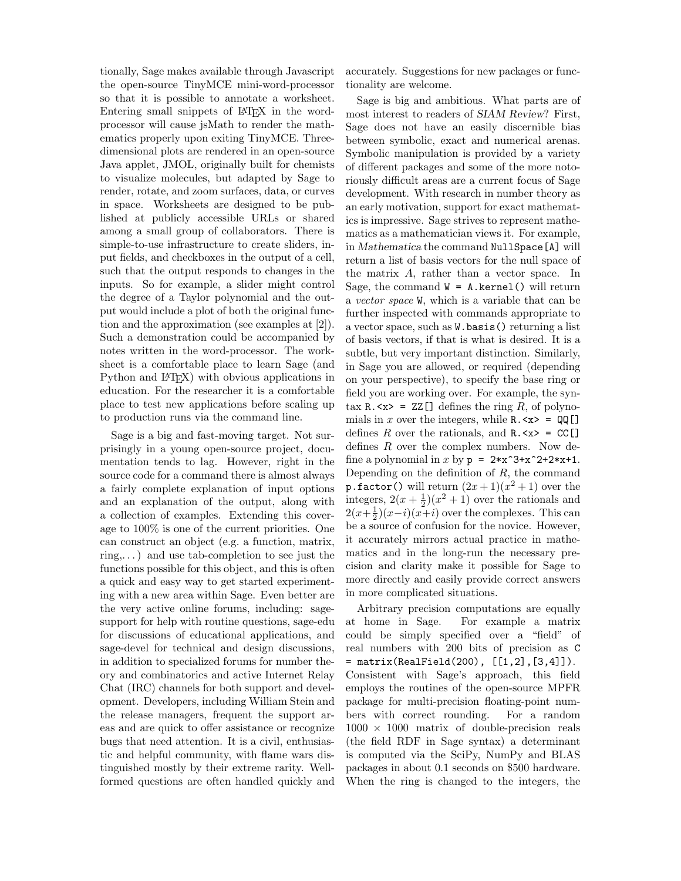tionally, Sage makes available through Javascript the open-source TinyMCE mini-word-processor so that it is possible to annotate a worksheet. Entering small snippets of LAT<sub>EX</sub> in the wordprocessor will cause jsMath to render the mathematics properly upon exiting TinyMCE. Threedimensional plots are rendered in an open-source Java applet, JMOL, originally built for chemists to visualize molecules, but adapted by Sage to render, rotate, and zoom surfaces, data, or curves in space. Worksheets are designed to be published at publicly accessible URLs or shared among a small group of collaborators. There is simple-to-use infrastructure to create sliders, input fields, and checkboxes in the output of a cell, such that the output responds to changes in the inputs. So for example, a slider might control the degree of a Taylor polynomial and the output would include a plot of both the original function and the approximation (see examples at [2]). Such a demonstration could be accompanied by notes written in the word-processor. The worksheet is a comfortable place to learn Sage (and Python and L<sup>AT</sup><sub>E</sub>X<sup>2</sup>) with obvious applications in education. For the researcher it is a comfortable place to test new applications before scaling up to production runs via the command line.

Sage is a big and fast-moving target. Not surprisingly in a young open-source project, documentation tends to lag. However, right in the source code for a command there is almost always a fairly complete explanation of input options and an explanation of the output, along with a collection of examples. Extending this coverage to 100% is one of the current priorities. One can construct an object (e.g. a function, matrix,  $ring...$ ) and use tab-completion to see just the functions possible for this object, and this is often a quick and easy way to get started experimenting with a new area within Sage. Even better are the very active online forums, including: sagesupport for help with routine questions, sage-edu for discussions of educational applications, and sage-devel for technical and design discussions, in addition to specialized forums for number theory and combinatorics and active Internet Relay Chat (IRC) channels for both support and development. Developers, including William Stein and the release managers, frequent the support areas and are quick to offer assistance or recognize bugs that need attention. It is a civil, enthusiastic and helpful community, with flame wars distinguished mostly by their extreme rarity. Wellformed questions are often handled quickly and accurately. Suggestions for new packages or functionality are welcome.

Sage is big and ambitious. What parts are of most interest to readers of SIAM Review? First, Sage does not have an easily discernible bias between symbolic, exact and numerical arenas. Symbolic manipulation is provided by a variety of different packages and some of the more notoriously difficult areas are a current focus of Sage development. With research in number theory as an early motivation, support for exact mathematics is impressive. Sage strives to represent mathematics as a mathematician views it. For example, in Mathematica the command NullSpace[A] will return a list of basis vectors for the null space of the matrix A, rather than a vector space. In Sage, the command  $W = A$ . kernel() will return a vector space W, which is a variable that can be further inspected with commands appropriate to a vector space, such as W.basis() returning a list of basis vectors, if that is what is desired. It is a subtle, but very important distinction. Similarly, in Sage you are allowed, or required (depending on your perspective), to specify the base ring or field you are working over. For example, the syntax  $\mathbb{R} \cdot \langle x \rangle = ZZ[\ ]$  defines the ring R, of polynomials in x over the integers, while  $R.\langle x \rangle = QQ$ defines R over the rationals, and  $R \cdot \langle x \rangle = CC$ defines R over the complex numbers. Now define a polynomial in  $x$  by  $p = 2*x^3+x^2+2*x+1$ . Depending on the definition of  $R$ , the command **p**.factor() will return  $(2x+1)(x^2+1)$  over the integers,  $2(x + \frac{1}{2})(x^2 + 1)$  over the rationals and  $2(x+\frac{1}{2})(x-i)(x+i)$  over the complexes. This can be a source of confusion for the novice. However, it accurately mirrors actual practice in mathematics and in the long-run the necessary precision and clarity make it possible for Sage to more directly and easily provide correct answers in more complicated situations.

Arbitrary precision computations are equally at home in Sage. For example a matrix could be simply specified over a "field" of real numbers with 200 bits of precision as C = matrix(RealField(200), [[1,2],[3,4]]). Consistent with Sage's approach, this field employs the routines of the open-source MPFR package for multi-precision floating-point numbers with correct rounding. For a random  $1000 \times 1000$  matrix of double-precision reals (the field RDF in Sage syntax) a determinant is computed via the SciPy, NumPy and BLAS packages in about 0.1 seconds on \$500 hardware. When the ring is changed to the integers, the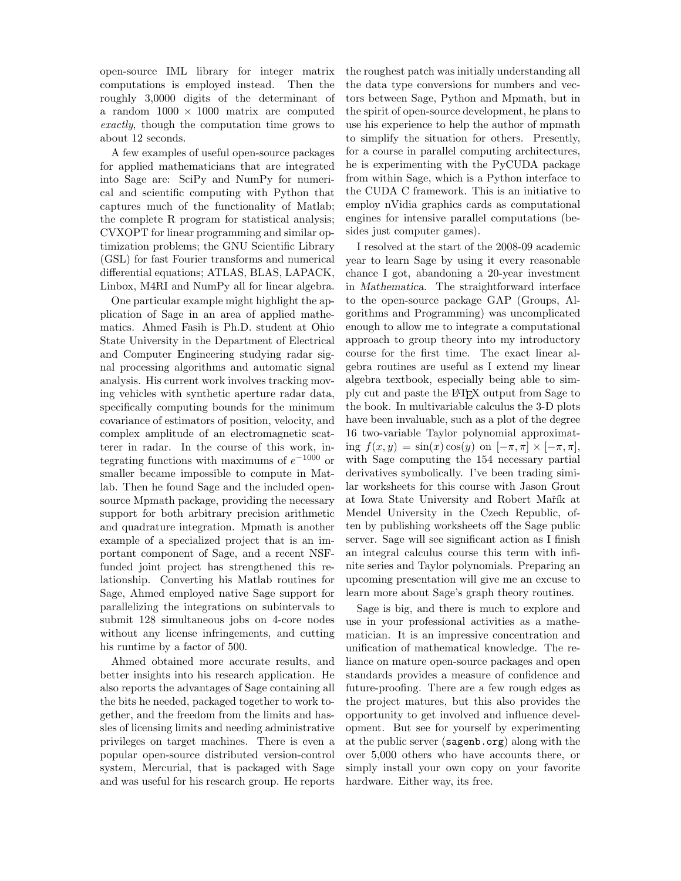open-source IML library for integer matrix computations is employed instead. Then the roughly 3,0000 digits of the determinant of a random  $1000 \times 1000$  matrix are computed exactly, though the computation time grows to about 12 seconds.

A few examples of useful open-source packages for applied mathematicians that are integrated into Sage are: SciPy and NumPy for numerical and scientific computing with Python that captures much of the functionality of Matlab; the complete R program for statistical analysis; CVXOPT for linear programming and similar optimization problems; the GNU Scientific Library (GSL) for fast Fourier transforms and numerical differential equations; ATLAS, BLAS, LAPACK, Linbox, M4RI and NumPy all for linear algebra.

One particular example might highlight the application of Sage in an area of applied mathematics. Ahmed Fasih is Ph.D. student at Ohio State University in the Department of Electrical and Computer Engineering studying radar signal processing algorithms and automatic signal analysis. His current work involves tracking moving vehicles with synthetic aperture radar data, specifically computing bounds for the minimum covariance of estimators of position, velocity, and complex amplitude of an electromagnetic scatterer in radar. In the course of this work, integrating functions with maximums of  $e^{-1000}$  or smaller became impossible to compute in Matlab. Then he found Sage and the included opensource Mpmath package, providing the necessary support for both arbitrary precision arithmetic and quadrature integration. Mpmath is another example of a specialized project that is an important component of Sage, and a recent NSFfunded joint project has strengthened this relationship. Converting his Matlab routines for Sage, Ahmed employed native Sage support for parallelizing the integrations on subintervals to submit 128 simultaneous jobs on 4-core nodes without any license infringements, and cutting his runtime by a factor of 500.

Ahmed obtained more accurate results, and better insights into his research application. He also reports the advantages of Sage containing all the bits he needed, packaged together to work together, and the freedom from the limits and hassles of licensing limits and needing administrative privileges on target machines. There is even a popular open-source distributed version-control system, Mercurial, that is packaged with Sage and was useful for his research group. He reports

the roughest patch was initially understanding all the data type conversions for numbers and vectors between Sage, Python and Mpmath, but in the spirit of open-source development, he plans to use his experience to help the author of mpmath to simplify the situation for others. Presently, for a course in parallel computing architectures, he is experimenting with the PyCUDA package from within Sage, which is a Python interface to the CUDA C framework. This is an initiative to employ nVidia graphics cards as computational engines for intensive parallel computations (besides just computer games).

I resolved at the start of the 2008-09 academic year to learn Sage by using it every reasonable chance I got, abandoning a 20-year investment in Mathematica. The straightforward interface to the open-source package GAP (Groups, Algorithms and Programming) was uncomplicated enough to allow me to integrate a computational approach to group theory into my introductory course for the first time. The exact linear algebra routines are useful as I extend my linear algebra textbook, especially being able to simply cut and paste the LATEX output from Sage to the book. In multivariable calculus the 3-D plots have been invaluable, such as a plot of the degree 16 two-variable Taylor polynomial approximating  $f(x, y) = \sin(x) \cos(y)$  on  $[-\pi, \pi] \times [-\pi, \pi]$ , with Sage computing the 154 necessary partial derivatives symbolically. I've been trading similar worksheets for this course with Jason Grout at Iowa State University and Robert Mařík at Mendel University in the Czech Republic, often by publishing worksheets off the Sage public server. Sage will see significant action as I finish an integral calculus course this term with infinite series and Taylor polynomials. Preparing an upcoming presentation will give me an excuse to learn more about Sage's graph theory routines.

Sage is big, and there is much to explore and use in your professional activities as a mathematician. It is an impressive concentration and unification of mathematical knowledge. The reliance on mature open-source packages and open standards provides a measure of confidence and future-proofing. There are a few rough edges as the project matures, but this also provides the opportunity to get involved and influence development. But see for yourself by experimenting at the public server (sagenb.org) along with the over 5,000 others who have accounts there, or simply install your own copy on your favorite hardware. Either way, its free.